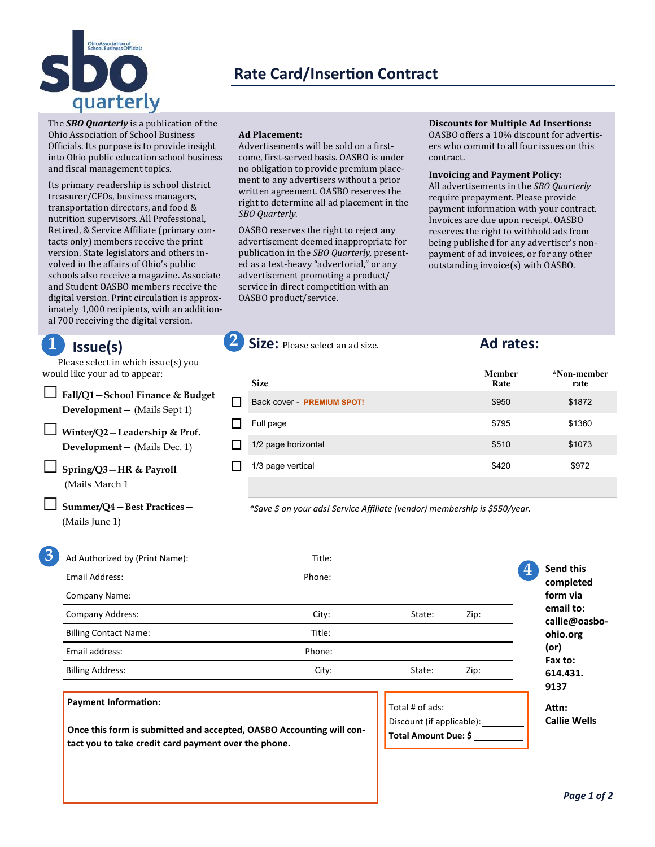

# **Rate Card/Insertion Contract**

The *SBO Quarterly* is a publication of the Ohio Association of School Business Officials. Its purpose is to provide insight into Ohio public education school business and fiscal management topics.

Its primary readership is school district treasurer/CFOs, business managers, transportation directors, and food & nutrition supervisors. All Professional, Retired, & Service Affiliate (primary contacts only) members receive the print version. State legislators and others involved in the affairs of Ohio's public schools also receive a magazine. Associate and Student OASBO members receive the digital version. Print circulation is approximately 1,000 recipients, with an additional 700 receiving the digital version.

# **Issue(s)**

Please select in which issue(s) you would like your ad to appear:

□**Fall/Q1—School Finance & Budget Development—** (Mails Sept 1) □ **Winter/Q2—Leadership & Prof. Development—** (Mails Dec. 1) □ **Spring/Q3—HR & Payroll**

(Mails March 1

□ **Summer/Q4—Best Practices—**  (Mails June 1)

### **Ad Placement:**

Advertisements will be sold on a firstcome, first-served basis. OASBO is under no obligation to provide premium placement to any advertisers without a prior written agreement. OASBO reserves the right to determine all ad placement in the *SBO Quarterly*.

OASBO reserves the right to reject any advertisement deemed inappropriate for publication in the *SBO Quarterly,* presented as a text-heavy "advertorial," or any advertisement promoting a product/ service in direct competition with an OASBO product/service.

**Discounts for Multiple Ad Insertions:**  OASBO offers a 10% discount for advertisers who commit to all four issues on this contract.

### **Invoicing and Payment Policy:**

All advertisements in the *SBO Quarterly*  require prepayment. Please provide payment information with your contract. Invoices are due upon receipt. OASBO reserves the right to withhold ads from being published for any advertiser's nonpayment of ad invoices, or for any other outstanding invoice(s) with OASBO.

| <b>Size</b>                | <b>Member</b><br>Rate | *Non-member<br>rate |
|----------------------------|-----------------------|---------------------|
| Back cover - PREMIUM SPOT! | \$950                 | \$1872              |
| Full page                  | \$795                 | \$1360              |
| 1/2 page horizontal        | \$510                 | \$1073              |
| 1/3 page vertical          | \$420                 | \$972               |
|                            |                       |                     |

*\*Save \$ on your ads! Service Affiliate (vendor) membership is \$550/year.*

**1 2 Size:** Please select an ad size. **Ad rates:** 

| Ad Authorized by (Print Name): | Title: |                                                            |      |                                            |
|--------------------------------|--------|------------------------------------------------------------|------|--------------------------------------------|
| Email Address:                 | Phone: |                                                            |      | $\boldsymbol{A}$<br>Send this<br>completed |
| Company Name:                  |        |                                                            |      | form via                                   |
| <b>Company Address:</b>        | City:  | State:                                                     | Zip: | email to:<br>callie@oasbo                  |
| <b>Billing Contact Name:</b>   | Title: |                                                            |      | ohio.org                                   |
| Email address:                 | Phone: |                                                            |      | (or)                                       |
| <b>Billing Address:</b>        | City:  | State:                                                     | Zip: | Fax to:<br>614.431.                        |
|                                |        |                                                            |      | 9137                                       |
| <b>Payment Information:</b>    |        | $T_{\alpha+1}$ $\uparrow$ $\uparrow$ $\uparrow$ $\uparrow$ |      | $A + n$                                    |

**Once this form is submitted and accepted, OASBO Accounting will contact you to take credit card payment over the phone.**

Total # of ads: Discount (if applicable): \_\_\_\_ **Total Amount Due: \$**

**callie@oasbo-Attn: Callie Wells**